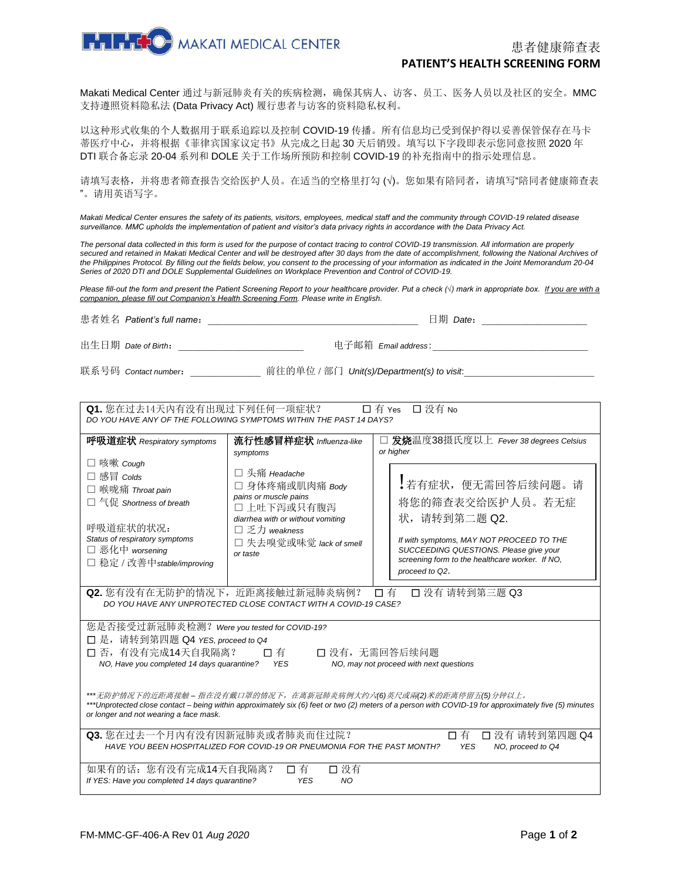

Makati Medical Center 通过与新冠肺炎有关的疾病检测,确保其病人、访客、员工、医务人员以及社区的安全。MMC 支持遵照资料隐私法 (Data Privacy Act) 履行患者与访客的资料隐私权利。

以这种形式收集的个人数据用于联系追踪以及控制 COVID-19 传播。所有信息均已受到保护得以妥善保管保存在马卡 蒂医疗中心,并将根据《菲律宾国家议定书》从完成之日起 30 天后销毁。填写以下字段即表示您同意按照 2020 年 DTI 联合备忘录 20-04 系列和 DOLE 关于工作场所预防和控制 COVID-19 的补充指南中的指示处理信息。

请填写表格,并将患者筛查报告交给医护人员。在适当的空格里打勾 (√)。您如果有陪同者,请填写"陪同者健康筛查表 "。请用英语写字。

Makati Medical Center ensures the safety of its patients, visitors, employees, medical staff and the community through COVID-19 related disease *surveillance. MMC upholds the implementation of patient and visitor's data privacy rights in accordance with the Data Privacy Act.* 

*The personal data collected in this form is used for the purpose of contact tracing to control COVID-19 transmission. All information are properly secured and retained in Makati Medical Center and will be destroyed after 30 days from the date of accomplishment, following the National Archives of the Philippines Protocol. By filling out the fields below, you consent to the processing of your information as indicated in the Joint Memorandum 20-04 Series of 2020 DTI and DOLE Supplemental Guidelines on Workplace Prevention and Control of COVID-19.*

*Please fill-out the form and present the Patient Screening Report to your healthcare provider. Put a check (√) mark in appropriate box. If you are with a companion, please fill out Companion's Health Screening Form. Please write in English.*

| 患者姓名 Patient's full name: | $\boxplus$ 期 Date:                         |
|---------------------------|--------------------------------------------|
| 出生日期 Date of Birth:       | 电子邮箱 <i>Email address</i> :                |
| 联系号码 Contact number:      | 前往的单位 / 部门 Unit(s)/Department(s) to visit: |

| Q1. 您在过去14天内有没有出现过下列任何一项症状?<br>□ 没有 No<br>$\square$ 有 Yes<br>DO YOU HAVE ANY OF THE FOLLOWING SYMPTOMS WITHIN THE PAST 14 DAYS?                                                                                                                                       |                                                                                                         |                                                                                                                                                                                              |  |  |  |
|-----------------------------------------------------------------------------------------------------------------------------------------------------------------------------------------------------------------------------------------------------------------------|---------------------------------------------------------------------------------------------------------|----------------------------------------------------------------------------------------------------------------------------------------------------------------------------------------------|--|--|--|
| 呼吸道症状 Respiratory symptoms<br>□ 咳嗽 Cough<br>□ 感冒 Colds<br>□ 喉咙痛 Throat pain                                                                                                                                                                                           | 流行性感冒样症状 Influenza-like<br>symptoms<br>□ 头痛 Headache<br>□ 身体疼痛或肌肉痛 Body<br>pains or muscle pains        | 发烧温度38摄氏度以上 Fever 38 degrees Celsius<br>or higher<br>!若有症状, 便无需回答后续问题。请                                                                                                                      |  |  |  |
| □ 气促 Shortness of breath<br>呼吸道症状的状况:<br>Status of respiratory symptoms<br>□ 恶化中 worsening<br>□ 稳定 / 改善中 stable/improving                                                                                                                                             | □ 上吐下泻或只有腹泻<br>diarrhea with or without vomiting<br>□乏力 weakness<br>□ 失去嗅觉或味觉 lack of smell<br>or taste | 将您的筛查表交给医护人员。若无症<br>状, 请转到第二题 Q2.<br>If with symptoms, MAY NOT PROCEED TO THE<br>SUCCEEDING QUESTIONS. Please give your<br>screening form to the healthcare worker. If NO.<br>proceed to Q2. |  |  |  |
| Q2. 您有没有在无防护的情况下, 近距离接触过新冠肺炎病例?<br>口有<br>□ 没有 请转到第三题 Q3<br>DO YOU HAVE ANY UNPROTECTED CLOSE CONTACT WITH A COVID-19 CASE?                                                                                                                                            |                                                                                                         |                                                                                                                                                                                              |  |  |  |
| 您是否接受过新冠肺炎检测? Were you tested for COVID-19?<br>□ 是, 请转到第四题 Q4 YES, proceed to Q4<br>□ 否, 有没有完成14天自我隔离?<br>□ 没有, 无需回答后续问题<br>口有<br>NO, Have you completed 14 days quarantine? YES<br>NO, may not proceed with next questions                                           |                                                                                                         |                                                                                                                                                                                              |  |  |  |
| ***无防护情况下的近距离接触 - 指在没有戴口罩的情况下,在离新冠肺炎病例大约六(6)英尺或兩(2)米的距离停留五(5)分钟以上。<br>***Unprotected close contact – being within approximately six (6) feet or two (2) meters of a person with COVID-19 for approximately five (5) minutes<br>or longer and not wearing a face mask. |                                                                                                         |                                                                                                                                                                                              |  |  |  |
| Q3. 您在过去一个月内有没有因新冠肺炎或者肺炎而住过院?<br>口有<br>□ 没有 请转到第四题 Q4<br>HAVE YOU BEEN HOSPITALIZED FOR COVID-19 OR PNEUMONIA FOR THE PAST MONTH?<br><b>YES</b><br>NO, proceed to Q4                                                                                                  |                                                                                                         |                                                                                                                                                                                              |  |  |  |
| 如果有的话: 您有没有完成14天自我隔离?<br>If YES: Have you completed 14 days quarantine?                                                                                                                                                                                               | 口有<br>口 没有<br><b>YES</b><br>NO.                                                                         |                                                                                                                                                                                              |  |  |  |